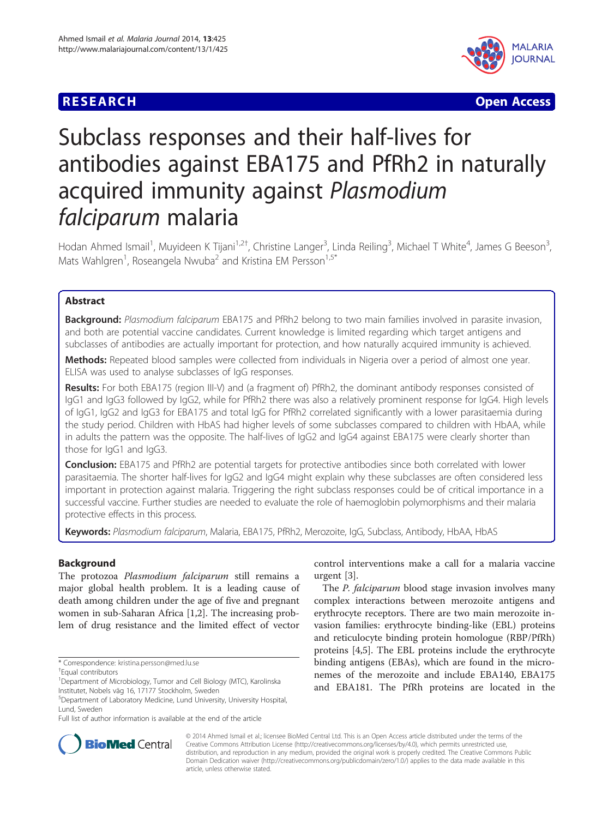# **RESEARCH CHE CHE Open Access**



# Subclass responses and their half-lives for antibodies against EBA175 and PfRh2 in naturally acquired immunity against Plasmodium falciparum malaria

Hodan Ahmed Ismail<sup>1</sup>, Muyideen K Tijani<sup>1,2†</sup>, Christine Langer<sup>3</sup>, Linda Reiling<sup>3</sup>, Michael T White<sup>4</sup>, James G Beeson<sup>3</sup> , Mats Wahlgren<sup>1</sup>, Roseangela Nwuba<sup>2</sup> and Kristina EM Persson<sup>1,5\*</sup>

# Abstract

Background: Plasmodium falciparum EBA175 and PfRh2 belong to two main families involved in parasite invasion, and both are potential vaccine candidates. Current knowledge is limited regarding which target antigens and subclasses of antibodies are actually important for protection, and how naturally acquired immunity is achieved.

Methods: Repeated blood samples were collected from individuals in Nigeria over a period of almost one year. ELISA was used to analyse subclasses of IgG responses.

Results: For both EBA175 (region III-V) and (a fragment of) PfRh2, the dominant antibody responses consisted of IgG1 and IgG3 followed by IgG2, while for PfRh2 there was also a relatively prominent response for IgG4. High levels of IgG1, IgG2 and IgG3 for EBA175 and total IgG for PfRh2 correlated significantly with a lower parasitaemia during the study period. Children with HbAS had higher levels of some subclasses compared to children with HbAA, while in adults the pattern was the opposite. The half-lives of IgG2 and IgG4 against EBA175 were clearly shorter than those for IgG1 and IgG3.

Conclusion: EBA175 and PfRh2 are potential targets for protective antibodies since both correlated with lower parasitaemia. The shorter half-lives for IgG2 and IgG4 might explain why these subclasses are often considered less important in protection against malaria. Triggering the right subclass responses could be of critical importance in a successful vaccine. Further studies are needed to evaluate the role of haemoglobin polymorphisms and their malaria protective effects in this process.

Keywords: Plasmodium falciparum, Malaria, EBA175, PfRh2, Merozoite, IgG, Subclass, Antibody, HbAA, HbAS

# Background

The protozoa Plasmodium falciparum still remains a major global health problem. It is a leading cause of death among children under the age of five and pregnant women in sub-Saharan Africa [\[1,2](#page-7-0)]. The increasing problem of drug resistance and the limited effect of vector control interventions make a call for a malaria vaccine urgent [[3](#page-7-0)].

The *P. falciparum* blood stage invasion involves many complex interactions between merozoite antigens and erythrocyte receptors. There are two main merozoite invasion families: erythrocyte binding-like (EBL) proteins and reticulocyte binding protein homologue (RBP/PfRh) proteins [[4,5\]](#page-7-0). The EBL proteins include the erythrocyte binding antigens (EBAs), which are found in the micronemes of the merozoite and include EBA140, EBA175 and EBA181. The PfRh proteins are located in the



© 2014 Ahmed Ismail et al.; licensee BioMed Central Ltd. This is an Open Access article distributed under the terms of the Creative Commons Attribution License (<http://creativecommons.org/licenses/by/4.0>), which permits unrestricted use, distribution, and reproduction in any medium, provided the original work is properly credited. The Creative Commons Public Domain Dedication waiver [\(http://creativecommons.org/publicdomain/zero/1.0/\)](http://creativecommons.org/publicdomain/zero/1.0/) applies to the data made available in this article, unless otherwise stated.

<sup>\*</sup> Correspondence: [kristina.persson@med.lu.se](mailto:kristina.persson@med.lu.se) †

Equal contributors

<sup>&</sup>lt;sup>1</sup>Department of Microbiology, Tumor and Cell Biology (MTC), Karolinska Institutet, Nobels väg 16, 17177 Stockholm, Sweden

<sup>5</sup> Department of Laboratory Medicine, Lund University, University Hospital, Lund, Sweden

Full list of author information is available at the end of the article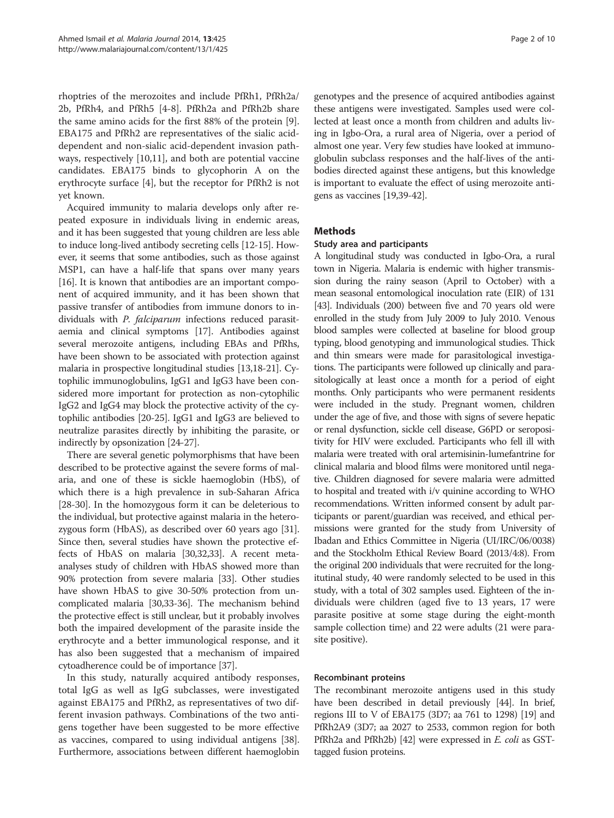rhoptries of the merozoites and include PfRh1, PfRh2a/ 2b, PfRh4, and PfRh5 [\[4](#page-7-0)-[8\]](#page-7-0). PfRh2a and PfRh2b share the same amino acids for the first 88% of the protein [\[9](#page-7-0)]. EBA175 and PfRh2 are representatives of the sialic aciddependent and non-sialic acid-dependent invasion pathways, respectively [\[10,11](#page-7-0)], and both are potential vaccine candidates. EBA175 binds to glycophorin A on the erythrocyte surface [\[4](#page-7-0)], but the receptor for PfRh2 is not yet known.

Acquired immunity to malaria develops only after repeated exposure in individuals living in endemic areas, and it has been suggested that young children are less able to induce long-lived antibody secreting cells [\[12-15\]](#page-7-0). However, it seems that some antibodies, such as those against MSP1, can have a half-life that spans over many years [[16](#page-7-0)]. It is known that antibodies are an important component of acquired immunity, and it has been shown that passive transfer of antibodies from immune donors to individuals with P. falciparum infections reduced parasitaemia and clinical symptoms [\[17\]](#page-7-0). Antibodies against several merozoite antigens, including EBAs and PfRhs, have been shown to be associated with protection against malaria in prospective longitudinal studies [\[13,18-21\]](#page-7-0). Cytophilic immunoglobulins, IgG1 and IgG3 have been considered more important for protection as non-cytophilic IgG2 and IgG4 may block the protective activity of the cytophilic antibodies [[20-25\]](#page-7-0). IgG1 and IgG3 are believed to neutralize parasites directly by inhibiting the parasite, or indirectly by opsonization [\[24](#page-7-0)-[27](#page-7-0)].

There are several genetic polymorphisms that have been described to be protective against the severe forms of malaria, and one of these is sickle haemoglobin (HbS), of which there is a high prevalence in sub-Saharan Africa [[28](#page-7-0)-[30](#page-7-0)]. In the homozygous form it can be deleterious to the individual, but protective against malaria in the heterozygous form (HbAS), as described over 60 years ago [[31](#page-7-0)]. Since then, several studies have shown the protective effects of HbAS on malaria [[30](#page-7-0)[,32,33\]](#page-8-0). A recent metaanalyses study of children with HbAS showed more than 90% protection from severe malaria [[33\]](#page-8-0). Other studies have shown HbAS to give 30-50% protection from uncomplicated malaria [\[30](#page-7-0)[,33-36\]](#page-8-0). The mechanism behind the protective effect is still unclear, but it probably involves both the impaired development of the parasite inside the erythrocyte and a better immunological response, and it has also been suggested that a mechanism of impaired cytoadherence could be of importance [\[37\]](#page-8-0).

In this study, naturally acquired antibody responses, total IgG as well as IgG subclasses, were investigated against EBA175 and PfRh2, as representatives of two different invasion pathways. Combinations of the two antigens together have been suggested to be more effective as vaccines, compared to using individual antigens [[38](#page-8-0)]. Furthermore, associations between different haemoglobin

genotypes and the presence of acquired antibodies against these antigens were investigated. Samples used were collected at least once a month from children and adults living in Igbo-Ora, a rural area of Nigeria, over a period of almost one year. Very few studies have looked at immunoglobulin subclass responses and the half-lives of the antibodies directed against these antigens, but this knowledge is important to evaluate the effect of using merozoite antigens as vaccines [[19](#page-7-0)[,39](#page-8-0)-[42](#page-8-0)].

# Methods

#### Study area and participants

A longitudinal study was conducted in Igbo-Ora, a rural town in Nigeria. Malaria is endemic with higher transmission during the rainy season (April to October) with a mean seasonal entomological inoculation rate (EIR) of 131 [[43](#page-8-0)]. Individuals (200) between five and 70 years old were enrolled in the study from July 2009 to July 2010. Venous blood samples were collected at baseline for blood group typing, blood genotyping and immunological studies. Thick and thin smears were made for parasitological investigations. The participants were followed up clinically and parasitologically at least once a month for a period of eight months. Only participants who were permanent residents were included in the study. Pregnant women, children under the age of five, and those with signs of severe hepatic or renal dysfunction, sickle cell disease, G6PD or seropositivity for HIV were excluded. Participants who fell ill with malaria were treated with oral artemisinin-lumefantrine for clinical malaria and blood films were monitored until negative. Children diagnosed for severe malaria were admitted to hospital and treated with i/v quinine according to WHO recommendations. Written informed consent by adult participants or parent/guardian was received, and ethical permissions were granted for the study from University of Ibadan and Ethics Committee in Nigeria (UI/IRC/06/0038) and the Stockholm Ethical Review Board (2013/4:8). From the original 200 individuals that were recruited for the longitutinal study, 40 were randomly selected to be used in this study, with a total of 302 samples used. Eighteen of the individuals were children (aged five to 13 years, 17 were parasite positive at some stage during the eight-month sample collection time) and 22 were adults (21 were parasite positive).

# Recombinant proteins

The recombinant merozoite antigens used in this study have been described in detail previously [\[44\]](#page-8-0). In brief, regions III to V of EBA175 (3D7; aa 761 to 1298) [\[19\]](#page-7-0) and PfRh2A9 (3D7; aa 2027 to 2533, common region for both PfRh2a and PfRh2b) [\[42](#page-8-0)] were expressed in *E. coli* as GSTtagged fusion proteins.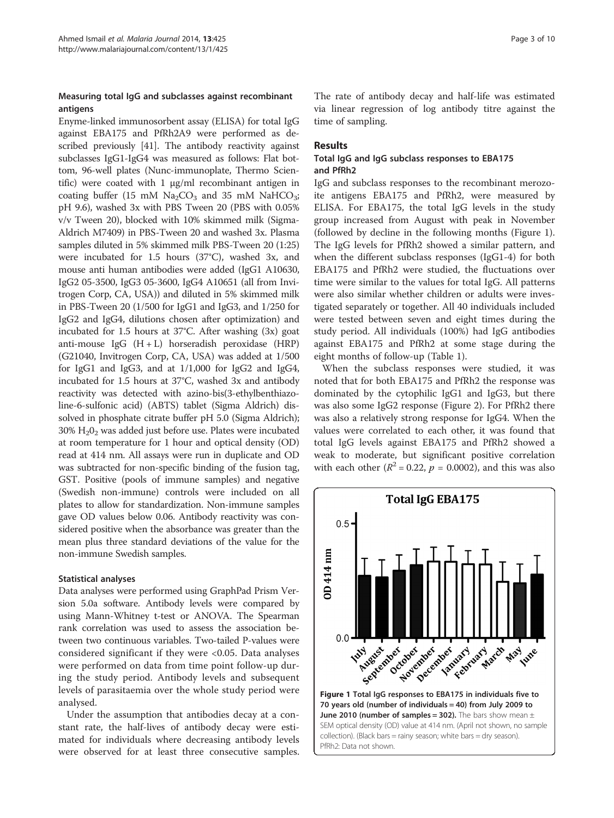# Measuring total IgG and subclasses against recombinant antigens

Enyme-linked immunosorbent assay (ELISA) for total IgG against EBA175 and PfRh2A9 were performed as described previously [[41](#page-8-0)]. The antibody reactivity against subclasses IgG1-IgG4 was measured as follows: Flat bottom, 96-well plates (Nunc-immunoplate, Thermo Scientific) were coated with 1 μg/ml recombinant antigen in coating buffer (15 mM  $Na<sub>2</sub>CO<sub>3</sub>$  and 35 mM NaHCO<sub>3</sub>; pH 9.6), washed 3x with PBS Tween 20 (PBS with 0.05% v/v Tween 20), blocked with 10% skimmed milk (Sigma-Aldrich M7409) in PBS-Tween 20 and washed 3x. Plasma samples diluted in 5% skimmed milk PBS-Tween 20 (1:25) were incubated for 1.5 hours (37°C), washed 3x, and mouse anti human antibodies were added (IgG1 A10630, IgG2 05-3500, IgG3 05-3600, IgG4 A10651 (all from Invitrogen Corp, CA, USA)) and diluted in 5% skimmed milk in PBS-Tween 20 (1/500 for IgG1 and IgG3, and 1/250 for IgG2 and IgG4, dilutions chosen after optimization) and incubated for 1.5 hours at 37°C. After washing (3x) goat anti-mouse IgG  $(H + L)$  horseradish peroxidase  $(HRP)$ (G21040, Invitrogen Corp, CA, USA) was added at 1/500 for IgG1 and IgG3, and at 1/1,000 for IgG2 and IgG4, incubated for 1.5 hours at 37°C, washed 3x and antibody reactivity was detected with azino-bis(3-ethylbenthiazoline-6-sulfonic acid) (ABTS) tablet (Sigma Aldrich) dissolved in phosphate citrate buffer pH 5.0 (Sigma Aldrich);  $30\%$  H<sub>2</sub>O<sub>2</sub> was added just before use. Plates were incubated at room temperature for 1 hour and optical density (OD) read at 414 nm. All assays were run in duplicate and OD was subtracted for non-specific binding of the fusion tag, GST. Positive (pools of immune samples) and negative (Swedish non-immune) controls were included on all plates to allow for standardization. Non-immune samples gave OD values below 0.06. Antibody reactivity was considered positive when the absorbance was greater than the mean plus three standard deviations of the value for the non-immune Swedish samples.

# Statistical analyses

Data analyses were performed using GraphPad Prism Version 5.0a software. Antibody levels were compared by using Mann-Whitney t-test or ANOVA. The Spearman rank correlation was used to assess the association between two continuous variables. Two-tailed P-values were considered significant if they were <0.05. Data analyses were performed on data from time point follow-up during the study period. Antibody levels and subsequent levels of parasitaemia over the whole study period were analysed.

Under the assumption that antibodies decay at a constant rate, the half-lives of antibody decay were estimated for individuals where decreasing antibody levels were observed for at least three consecutive samples.

The rate of antibody decay and half-life was estimated via linear regression of log antibody titre against the time of sampling.

# Results

# Total IgG and IgG subclass responses to EBA175 and PfRh2

IgG and subclass responses to the recombinant merozoite antigens EBA175 and PfRh2, were measured by ELISA. For EBA175, the total IgG levels in the study group increased from August with peak in November (followed by decline in the following months (Figure 1). The IgG levels for PfRh2 showed a similar pattern, and when the different subclass responses (IgG1-4) for both EBA175 and PfRh2 were studied, the fluctuations over time were similar to the values for total IgG. All patterns were also similar whether children or adults were investigated separately or together. All 40 individuals included were tested between seven and eight times during the study period. All individuals (100%) had IgG antibodies against EBA175 and PfRh2 at some stage during the eight months of follow-up (Table [1\)](#page-3-0).

When the subclass responses were studied, it was noted that for both EBA175 and PfRh2 the response was dominated by the cytophilic IgG1 and IgG3, but there was also some IgG2 response (Figure [2\)](#page-3-0). For PfRh2 there was also a relatively strong response for IgG4. When the values were correlated to each other, it was found that total IgG levels against EBA175 and PfRh2 showed a weak to moderate, but significant positive correlation with each other ( $R^2 = 0.22$ ,  $p = 0.0002$ ), and this was also

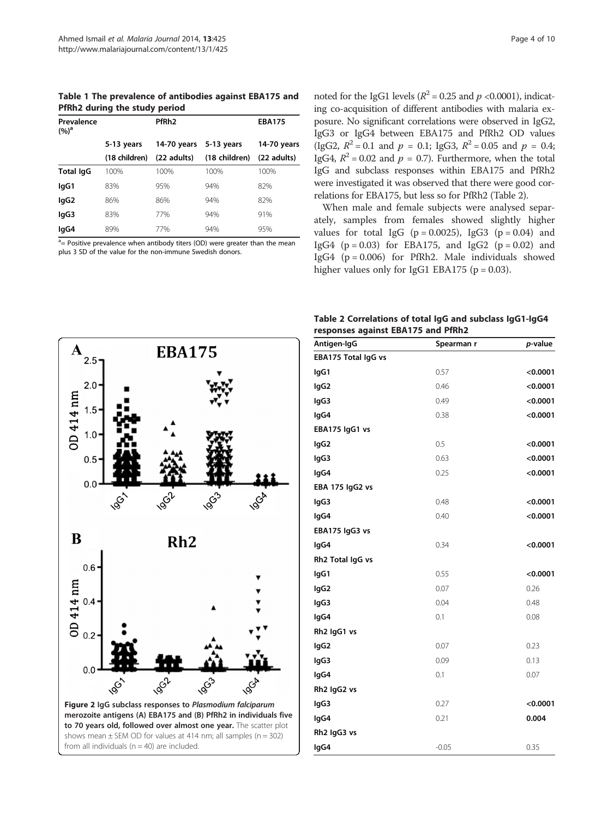<span id="page-3-0"></span>Table 1 The prevalence of antibodies against EBA175 and PfRh2 during the study period

| Prevalence<br>$(%)^a$ |               | PfRh <sub>2</sub> |               | <b>EBA175</b> |
|-----------------------|---------------|-------------------|---------------|---------------|
|                       | 5-13 years    | 14-70 years       | 5-13 years    | 14-70 years   |
|                       | (18 children) | (22 adults)       | (18 children) | (22 adults)   |
| <b>Total IgG</b>      | 100%          | 100%              | 100%          | 100%          |
| lgG1                  | 83%           | 95%               | 94%           | 82%           |
| lgG2                  | 86%           | 86%               | 94%           | 82%           |
| lgG3                  | 83%           | 77%               | 94%           | 91%           |
| lgG4                  | 89%           | 77%               | 94%           | 95%           |

<sup>a</sup> = Positive prevalence when antibody titers (OD) were greater than the mean plus 3 SD of the value for the non-immune Swedish donors.

noted for the IgG1 levels ( $R^2$  = 0.25 and  $p$  <0.0001), indicating co-acquisition of different antibodies with malaria exposure. No significant correlations were observed in IgG2, IgG3 or IgG4 between EBA175 and PfRh2 OD values (IgG2,  $R^2 = 0.1$  and  $p = 0.1$ ; IgG3,  $R^2 = 0.05$  and  $p = 0.4$ ; IgG4,  $R^2 = 0.02$  and  $p = 0.7$ ). Furthermore, when the total IgG and subclass responses within EBA175 and PfRh2 were investigated it was observed that there were good correlations for EBA175, but less so for PfRh2 (Table 2).

When male and female subjects were analysed separately, samples from females showed slightly higher values for total IgG  $(p = 0.0025)$ , IgG3  $(p = 0.04)$  and IgG4 ( $p = 0.03$ ) for EBA175, and IgG2 ( $p = 0.02$ ) and IgG4 (p = 0.006) for PfRh2. Male individuals showed higher values only for IgG1 EBA175 ( $p = 0.03$ ).

Table 2 Correlations of total IgG and subclass IgG1-IgG4 responses against EBA175 and PfRh2



| Antigen-IgG             | Spearman r | p-value  |
|-------------------------|------------|----------|
| EBA175 Total IgG vs     |            |          |
| lgG1                    | 0.57       | < 0.0001 |
| lgG <sub>2</sub>        | 0.46       | < 0.0001 |
| lgG3                    | 0.49       | < 0.0001 |
| lgG4                    | 0.38       | < 0.0001 |
| EBA175 IgG1 vs          |            |          |
| IgG2                    | 0.5        | < 0.0001 |
| IgG3                    | 0.63       | < 0.0001 |
| lgG4                    | 0.25       | < 0.0001 |
| EBA 175 IgG2 vs         |            |          |
| IgG3                    | 0.48       | < 0.0001 |
| lgG4                    | 0.40       | < 0.0001 |
| EBA175 IgG3 vs          |            |          |
| lgG4                    | 0.34       | < 0.0001 |
| Rh2 Total IgG vs        |            |          |
| IgG1                    | 0.55       | < 0.0001 |
| IgG2                    | 0.07       | 0.26     |
| lgG3                    | 0.04       | 0.48     |
| lgG4                    | 0.1        | 0.08     |
| Rh <sub>2</sub> IgG1 vs |            |          |
| lgG <sub>2</sub>        | 0.07       | 0.23     |
| lgG3                    | 0.09       | 0.13     |
| lgG4                    | 0.1        | 0.07     |
| Rh2 IgG2 vs             |            |          |
| lgG3                    | 0.27       | < 0.0001 |
| IgG4                    | 0.21       | 0.004    |
| Rh2 IgG3 vs             |            |          |
| lgG4                    | $-0.05$    | 0.35     |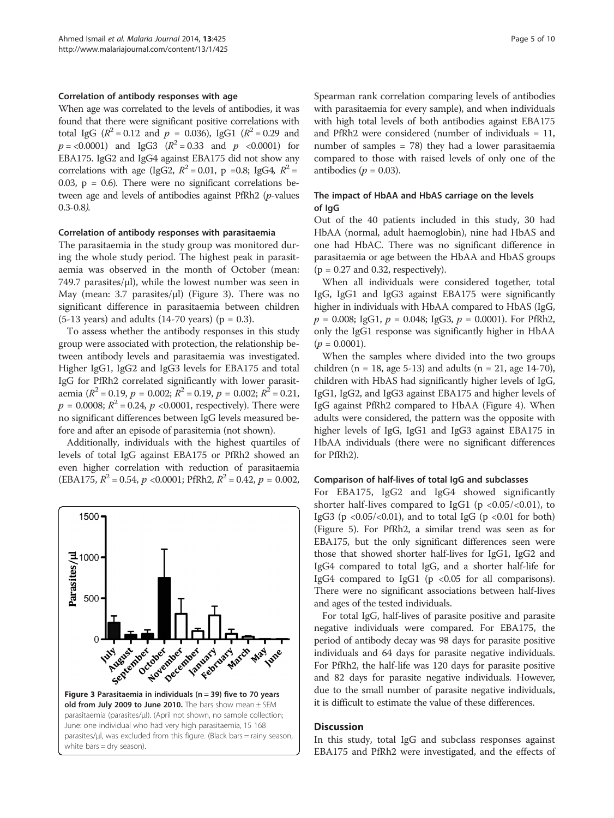#### Correlation of antibody responses with age

When age was correlated to the levels of antibodies, it was found that there were significant positive correlations with total IgG ( $R^2 = 0.12$  and  $p = 0.036$ ), IgG1 ( $R^2 = 0.29$  and  $p = 0.0001$  and IgG3  $(R^2 = 0.33$  and  $p \le 0.0001$  for EBA175. IgG2 and IgG4 against EBA175 did not show any correlations with age (IgG2,  $R^2 = 0.01$ , p =0.8; IgG4,  $R^2 =$ 0.03,  $p = 0.6$ ). There were no significant correlations between age and levels of antibodies against PfRh2 (p-values 0.3-0.8).

#### Correlation of antibody responses with parasitaemia

The parasitaemia in the study group was monitored during the whole study period. The highest peak in parasitaemia was observed in the month of October (mean:  $749.7$  parasites/ $\mu$ l), while the lowest number was seen in May (mean: 3.7 parasites/μl) (Figure 3). There was no significant difference in parasitaemia between children  $(5-13 \text{ years})$  and adults  $(14-70 \text{ years})$   $(p = 0.3)$ .

To assess whether the antibody responses in this study group were associated with protection, the relationship between antibody levels and parasitaemia was investigated. Higher IgG1, IgG2 and IgG3 levels for EBA175 and total IgG for PfRh2 correlated significantly with lower parasitaemia ( $R^2$  = 0.19,  $p$  = 0.002;  $R^2$  = 0.19,  $p$  = 0.002;  $R^2$  = 0.21,  $p = 0.0008$ ;  $R^2 = 0.24$ ,  $p < 0.0001$ , respectively). There were no significant differences between IgG levels measured before and after an episode of parasitemia (not shown).

Additionally, individuals with the highest quartiles of levels of total IgG against EBA175 or PfRh2 showed an even higher correlation with reduction of parasitaemia (EBA175,  $R^2 = 0.54$ ,  $p \le 0.0001$ ; PfRh2,  $R^2 = 0.42$ ,  $p = 0.002$ ,



Spearman rank correlation comparing levels of antibodies with parasitaemia for every sample), and when individuals with high total levels of both antibodies against EBA175 and PfRh2 were considered (number of individuals = 11, number of samples = 78) they had a lower parasitaemia compared to those with raised levels of only one of the antibodies ( $p = 0.03$ ).

#### The impact of HbAA and HbAS carriage on the levels of IgG

Out of the 40 patients included in this study, 30 had HbAA (normal, adult haemoglobin), nine had HbAS and one had HbAC. There was no significant difference in parasitaemia or age between the HbAA and HbAS groups  $(p = 0.27$  and 0.32, respectively).

When all individuals were considered together, total IgG, IgG1 and IgG3 against EBA175 were significantly higher in individuals with HbAA compared to HbAS (IgG,  $p = 0.008$ ; IgG1,  $p = 0.048$ ; IgG3,  $p = 0.0001$ ). For PfRh2, only the IgG1 response was significantly higher in HbAA  $(p = 0.0001)$ .

When the samples where divided into the two groups children (n = 18, age 5-13) and adults (n = 21, age 14-70), children with HbAS had significantly higher levels of IgG, IgG1, IgG2, and IgG3 against EBA175 and higher levels of IgG against PfRh2 compared to HbAA (Figure [4](#page-5-0)). When adults were considered, the pattern was the opposite with higher levels of IgG, IgG1 and IgG3 against EBA175 in HbAA individuals (there were no significant differences for PfRh2).

#### Comparison of half-lives of total IgG and subclasses

For EBA175, IgG2 and IgG4 showed significantly shorter half-lives compared to IgG1 ( $p < 0.05 / < 0.01$ ), to IgG3 (p  $<0.05/<0.01$ ), and to total IgG (p  $<0.01$  for both) (Figure [5\)](#page-5-0). For PfRh2, a similar trend was seen as for EBA175, but the only significant differences seen were those that showed shorter half-lives for IgG1, IgG2 and IgG4 compared to total IgG, and a shorter half-life for IgG4 compared to IgG1 (p <0.05 for all comparisons). There were no significant associations between half-lives and ages of the tested individuals.

For total IgG, half-lives of parasite positive and parasite negative individuals were compared. For EBA175, the period of antibody decay was 98 days for parasite positive individuals and 64 days for parasite negative individuals. For PfRh2, the half-life was 120 days for parasite positive and 82 days for parasite negative individuals. However, due to the small number of parasite negative individuals, it is difficult to estimate the value of these differences.

#### **Discussion**

In this study, total IgG and subclass responses against EBA175 and PfRh2 were investigated, and the effects of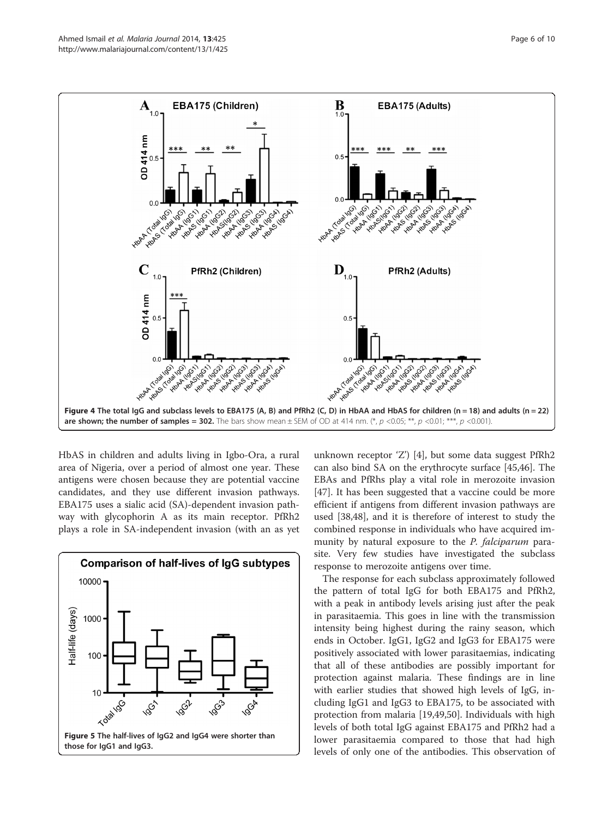<span id="page-5-0"></span>

HbAS in children and adults living in Igbo-Ora, a rural area of Nigeria, over a period of almost one year. These antigens were chosen because they are potential vaccine candidates, and they use different invasion pathways. EBA175 uses a sialic acid (SA)-dependent invasion pathway with glycophorin A as its main receptor. PfRh2 plays a role in SA-independent invasion (with an as yet



unknown receptor 'Z') [\[4](#page-7-0)], but some data suggest PfRh2 can also bind SA on the erythrocyte surface [\[45,46\]](#page-8-0). The EBAs and PfRhs play a vital role in merozoite invasion [[47\]](#page-8-0). It has been suggested that a vaccine could be more efficient if antigens from different invasion pathways are used [[38,48](#page-8-0)], and it is therefore of interest to study the combined response in individuals who have acquired immunity by natural exposure to the *P. falciparum* parasite. Very few studies have investigated the subclass response to merozoite antigens over time.

The response for each subclass approximately followed the pattern of total IgG for both EBA175 and PfRh2, with a peak in antibody levels arising just after the peak in parasitaemia. This goes in line with the transmission intensity being highest during the rainy season, which ends in October. IgG1, IgG2 and IgG3 for EBA175 were positively associated with lower parasitaemias, indicating that all of these antibodies are possibly important for protection against malaria. These findings are in line with earlier studies that showed high levels of IgG, including IgG1 and IgG3 to EBA175, to be associated with protection from malaria [[19](#page-7-0),[49](#page-8-0),[50](#page-8-0)]. Individuals with high levels of both total IgG against EBA175 and PfRh2 had a lower parasitaemia compared to those that had high levels of only one of the antibodies. This observation of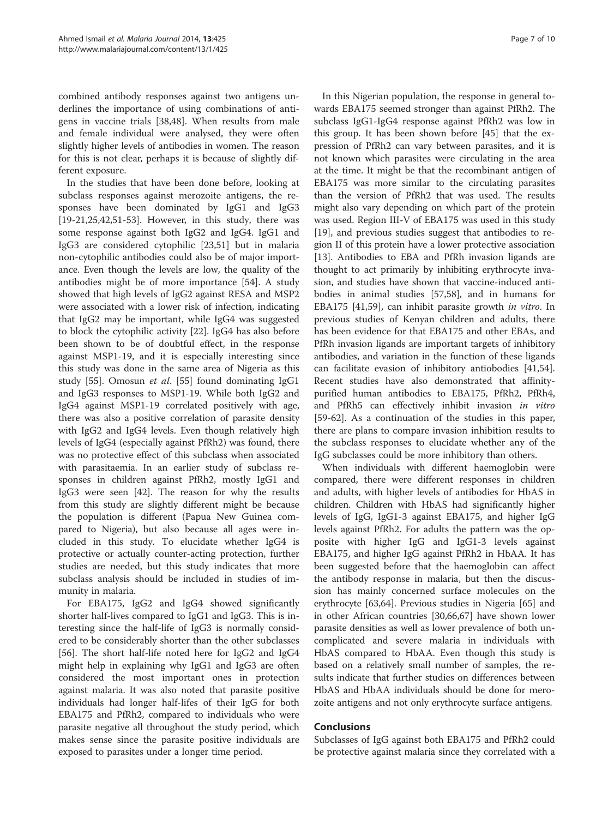combined antibody responses against two antigens underlines the importance of using combinations of antigens in vaccine trials [\[38,48](#page-8-0)]. When results from male and female individual were analysed, they were often slightly higher levels of antibodies in women. The reason for this is not clear, perhaps it is because of slightly different exposure.

In the studies that have been done before, looking at subclass responses against merozoite antigens, the responses have been dominated by IgG1 and IgG3 [[19-21,25](#page-7-0)[,42,51-53](#page-8-0)]. However, in this study, there was some response against both IgG2 and IgG4. IgG1 and IgG3 are considered cytophilic [[23,](#page-7-0)[51\]](#page-8-0) but in malaria non-cytophilic antibodies could also be of major importance. Even though the levels are low, the quality of the antibodies might be of more importance [[54](#page-8-0)]. A study showed that high levels of IgG2 against RESA and MSP2 were associated with a lower risk of infection, indicating that IgG2 may be important, while IgG4 was suggested to block the cytophilic activity [[22\]](#page-7-0). IgG4 has also before been shown to be of doubtful effect, in the response against MSP1-19, and it is especially interesting since this study was done in the same area of Nigeria as this study [[55\]](#page-8-0). Omosun et al. [\[55\]](#page-8-0) found dominating IgG1 and IgG3 responses to MSP1-19. While both IgG2 and IgG4 against MSP1-19 correlated positively with age, there was also a positive correlation of parasite density with IgG2 and IgG4 levels. Even though relatively high levels of IgG4 (especially against PfRh2) was found, there was no protective effect of this subclass when associated with parasitaemia. In an earlier study of subclass responses in children against PfRh2, mostly IgG1 and IgG3 were seen [\[42\]](#page-8-0). The reason for why the results from this study are slightly different might be because the population is different (Papua New Guinea compared to Nigeria), but also because all ages were included in this study. To elucidate whether IgG4 is protective or actually counter-acting protection, further studies are needed, but this study indicates that more subclass analysis should be included in studies of immunity in malaria.

For EBA175, IgG2 and IgG4 showed significantly shorter half-lives compared to IgG1 and IgG3. This is interesting since the half-life of IgG3 is normally considered to be considerably shorter than the other subclasses [[56\]](#page-8-0). The short half-life noted here for IgG2 and IgG4 might help in explaining why IgG1 and IgG3 are often considered the most important ones in protection against malaria. It was also noted that parasite positive individuals had longer half-lifes of their IgG for both EBA175 and PfRh2, compared to individuals who were parasite negative all throughout the study period, which makes sense since the parasite positive individuals are exposed to parasites under a longer time period.

In this Nigerian population, the response in general towards EBA175 seemed stronger than against PfRh2. The subclass IgG1-IgG4 response against PfRh2 was low in this group. It has been shown before [[45\]](#page-8-0) that the expression of PfRh2 can vary between parasites, and it is not known which parasites were circulating in the area at the time. It might be that the recombinant antigen of EBA175 was more similar to the circulating parasites than the version of PfRh2 that was used. The results might also vary depending on which part of the protein was used. Region III-V of EBA175 was used in this study [[19\]](#page-7-0), and previous studies suggest that antibodies to region II of this protein have a lower protective association [[13\]](#page-7-0). Antibodies to EBA and PfRh invasion ligands are thought to act primarily by inhibiting erythrocyte invasion, and studies have shown that vaccine-induced antibodies in animal studies [\[57,58\]](#page-8-0), and in humans for EBA175 [[41,59\]](#page-8-0), can inhibit parasite growth in vitro. In previous studies of Kenyan children and adults, there has been evidence for that EBA175 and other EBAs, and PfRh invasion ligands are important targets of inhibitory antibodies, and variation in the function of these ligands can facilitate evasion of inhibitory antiobodies [\[41,54](#page-8-0)]. Recent studies have also demonstrated that affinitypurified human antibodies to EBA175, PfRh2, PfRh4, and PfRh5 can effectively inhibit invasion in vitro [[59-62](#page-8-0)]. As a continuation of the studies in this paper, there are plans to compare invasion inhibition results to the subclass responses to elucidate whether any of the IgG subclasses could be more inhibitory than others.

When individuals with different haemoglobin were compared, there were different responses in children and adults, with higher levels of antibodies for HbAS in children. Children with HbAS had significantly higher levels of IgG, IgG1-3 against EBA175, and higher IgG levels against PfRh2. For adults the pattern was the opposite with higher IgG and IgG1-3 levels against EBA175, and higher IgG against PfRh2 in HbAA. It has been suggested before that the haemoglobin can affect the antibody response in malaria, but then the discussion has mainly concerned surface molecules on the erythrocyte [[63](#page-8-0),[64](#page-8-0)]. Previous studies in Nigeria [[65\]](#page-8-0) and in other African countries [[30,](#page-7-0)[66,](#page-8-0)[67\]](#page-9-0) have shown lower parasite densities as well as lower prevalence of both uncomplicated and severe malaria in individuals with HbAS compared to HbAA. Even though this study is based on a relatively small number of samples, the results indicate that further studies on differences between HbAS and HbAA individuals should be done for merozoite antigens and not only erythrocyte surface antigens.

# Conclusions

Subclasses of IgG against both EBA175 and PfRh2 could be protective against malaria since they correlated with a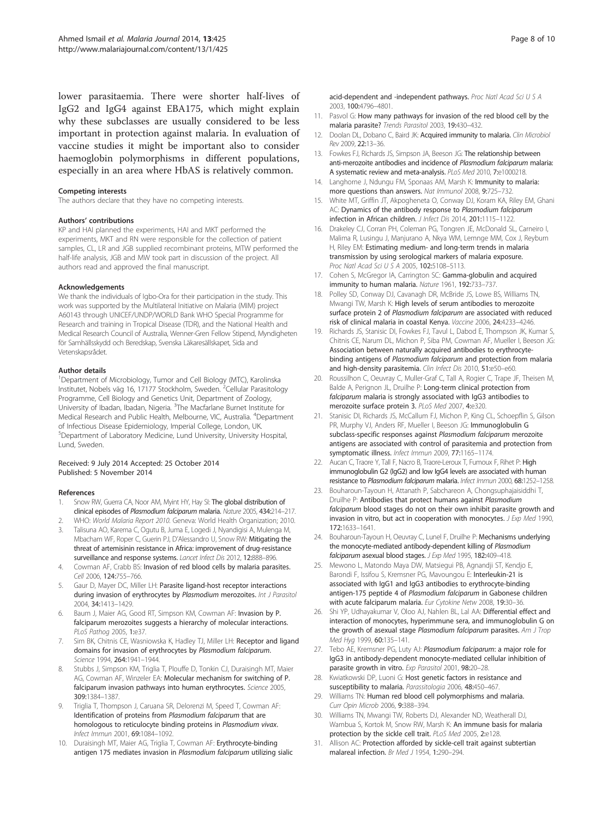<span id="page-7-0"></span>lower parasitaemia. There were shorter half-lives of IgG2 and IgG4 against EBA175, which might explain why these subclasses are usually considered to be less important in protection against malaria. In evaluation of vaccine studies it might be important also to consider haemoglobin polymorphisms in different populations, especially in an area where HbAS is relatively common.

#### Competing interests

The authors declare that they have no competing interests.

#### Authors' contributions

KP and HAI planned the experiments, HAI and MKT performed the experiments, MKT and RN were responsible for the collection of patient samples, CL, LR and JGB supplied recombinant proteins, MTW performed the half-life analysis, JGB and MW took part in discussion of the project. All authors read and approved the final manuscript.

#### Acknowledgements

We thank the individuals of Igbo-Ora for their participation in the study. This work was supported by the Multilateral Initiative on Malaria (MIM) project A60143 through UNICEF/UNDP/WORLD Bank WHO Special Programme for Research and training in Tropical Disease (TDR), and the National Health and Medical Research Council of Australia, Wenner-Gren Fellow Stipend, Myndigheten för Samhällsskydd och Beredskap, Svenska Läkaresällskapet, Sida and Vetenskapsrådet.

#### Author details

<sup>1</sup>Department of Microbiology, Tumor and Cell Biology (MTC), Karolinska Institutet, Nobels väg 16, 17177 Stockholm, Sweden. <sup>2</sup>Cellular Parasitology Programme, Cell Biology and Genetics Unit, Department of Zoology, University of Ibadan, Ibadan, Nigeria. <sup>3</sup>The Macfarlane Burnet Institute for Medical Research and Public Health, Melbourne, VIC, Australia. <sup>4</sup>Department of Infectious Disease Epidemiology, Imperial College, London, UK. 5 Department of Laboratory Medicine, Lund University, University Hospital, Lund, Sweden.

#### Received: 9 July 2014 Accepted: 25 October 2014 Published: 5 November 2014

#### References

- 1. Snow RW, Guerra CA, Noor AM, Myint HY, Hay SI: The global distribution of clinical episodes of Plasmodium falciparum malaria. Nature 2005, 434:214–217.
- 2. WHO: World Malaria Report 2010. Geneva: World Health Organization; 2010. 3. Talisuna AO, Karema C, Ogutu B, Juma E, Logedi J, Nyandigisi A, Mulenga M, Mbacham WF, Roper C, Guerin PJ, D'Alessandro U, Snow RW: Mitigating the threat of artemisinin resistance in Africa: improvement of drug-resistance surveillance and response systems. Lancet Infect Dis 2012, 12:888-896.
- 4. Cowman AF, Crabb BS: Invasion of red blood cells by malaria parasites. Cell 2006, 124:755–766.
- 5. Gaur D, Mayer DC, Miller LH: Parasite ligand-host receptor interactions during invasion of erythrocytes by Plasmodium merozoites. Int J Parasitol 2004, 34:1413–1429.
- 6. Baum J, Maier AG, Good RT, Simpson KM, Cowman AF: Invasion by P. falciparum merozoites suggests a hierarchy of molecular interactions. PLoS Pathog 2005, 1:e37.
- 7. Sim BK, Chitnis CE, Wasniowska K, Hadley TJ, Miller LH: Receptor and ligand domains for invasion of erythrocytes by Plasmodium falciparum. Science 1994, 264:1941–1944.
- 8. Stubbs J, Simpson KM, Triglia T, Plouffe D, Tonkin CJ, Duraisingh MT, Maier AG, Cowman AF, Winzeler EA: Molecular mechanism for switching of P. falciparum invasion pathways into human erythrocytes. Science 2005, 309:1384–1387.
- Triglia T, Thompson J, Caruana SR, Delorenzi M, Speed T, Cowman AF: Identification of proteins from Plasmodium falciparum that are homologous to reticulocyte binding proteins in Plasmodium vivax. Infect Immun 2001, 69:1084–1092.
- 10. Duraisingh MT, Maier AG, Triglia T, Cowman AF: Erythrocyte-binding antigen 175 mediates invasion in Plasmodium falciparum utilizing sialic

acid-dependent and -independent pathways. Proc Natl Acad Sci U S A 2003, 100:4796–4801.

- 11. Pasvol G: How many pathways for invasion of the red blood cell by the malaria parasite? Trends Parasitol 2003, 19:430–432.
- 12. Doolan DL, Dobano C, Baird JK: Acquired immunity to malaria. Clin Microbiol Rev 2009, 22:13–36.
- 13. Fowkes FJ, Richards JS, Simpson JA, Beeson JG: The relationship between anti-merozoite antibodies and incidence of Plasmodium falciparum malaria: A systematic review and meta-analysis. PLoS Med 2010, 7:e1000218.
- 14. Langhorne J, Ndungu FM, Sponaas AM, Marsh K: Immunity to malaria: more questions than answers. Nat Immunol 2008, 9:725–732.
- 15. White MT, Griffin JT, Akpogheneta O, Conway DJ, Koram KA, Riley EM, Ghani AC: Dynamics of the antibody response to Plasmodium falciparum infection in African children. J Infect Dis 2014, 201:1115–1122.
- 16. Drakeley CJ, Corran PH, Coleman PG, Tongren JE, McDonald SL, Carneiro I, Malima R, Lusingu J, Manjurano A, Nkya WM, Lemnge MM, Cox J, Reyburn H, Riley EM: Estimating medium- and long-term trends in malaria transmission by using serological markers of malaria exposure. Proc Natl Acad Sci U S A 2005, 102:5108–5113.
- 17. Cohen S, McGregor IA, Carrington SC: Gamma-globulin and acquired immunity to human malaria. Nature 1961, 192:733–737.
- 18. Polley SD, Conway DJ, Cavanagh DR, McBride JS, Lowe BS, Williams TN, Mwangi TW, Marsh K: High levels of serum antibodies to merozoite surface protein 2 of Plasmodium falciparum are associated with reduced risk of clinical malaria in coastal Kenya. Vaccine 2006, 24:4233–4246.
- 19. Richards JS, Stanisic DI, Fowkes FJ, Tavul L, Dabod E, Thompson JK, Kumar S, Chitnis CE, Narum DL, Michon P, Siba PM, Cowman AF, Mueller I, Beeson JG: Association between naturally acquired antibodies to erythrocytebinding antigens of Plasmodium falciparum and protection from malaria and high-density parasitemia. Clin Infect Dis 2010, 51:e50-e60.
- 20. Roussilhon C, Oeuvray C, Muller-Graf C, Tall A, Rogier C, Trape JF, Theisen M, Balde A, Perignon JL, Druilhe P: Long-term clinical protection from falciparum malaria is strongly associated with IgG3 antibodies to merozoite surface protein 3. PLoS Med 2007, 4:e320.
- 21. Stanisic DI, Richards JS, McCallum FJ, Michon P, King CL, Schoepflin S, Gilson PR, Murphy VJ, Anders RF, Mueller I, Beeson JG: Immunoglobulin G subclass-specific responses against Plasmodium falciparum merozoite antigens are associated with control of parasitemia and protection from symptomatic illness. Infect Immun 2009, 77:1165–1174.
- 22. Aucan C, Traore Y, Tall F, Nacro B, Traore-Leroux T, Fumoux F, Rihet P: High immunoglobulin G2 (IgG2) and low IgG4 levels are associated with human resistance to Plasmodium falciparum malaria. Infect Immun 2000, 68:1252–1258.
- 23. Bouharoun-Tayoun H, Attanath P, Sabchareon A, Chongsuphajaisiddhi T, Druilhe P: Antibodies that protect humans against Plasmodium falciparum blood stages do not on their own inhibit parasite growth and invasion in vitro, but act in cooperation with monocytes. *J Exp Med* 1990, 172:1633–1641.
- 24. Bouharoun-Tayoun H, Oeuvray C, Lunel F, Druilhe P: Mechanisms underlying the monocyte-mediated antibody-dependent killing of Plasmodium falciparum asexual blood stages. J Exp Med 1995, 182:409-418.
- 25. Mewono L, Matondo Maya DW, Matsiegui PB, Agnandji ST, Kendjo E, Barondi F, Issifou S, Kremsner PG, Mavoungou E: Interleukin-21 is associated with IgG1 and IgG3 antibodies to erythrocyte-binding antigen-175 peptide 4 of Plasmodium falciparum in Gabonese children with acute falciparum malaria. Eur Cytokine Netw 2008, 19:30–36.
- 26. Shi YP, Udhayakumar V, Oloo AJ, Nahlen BL, Lal AA: Differential effect and interaction of monocytes, hyperimmune sera, and immunoglobulin G on the growth of asexual stage Plasmodium falciparum parasites. Am J Trop Med Hyg 1999, 60:135–141.
- 27. Tebo AE, Kremsner PG, Luty AJ: Plasmodium falciparum: a major role for IgG3 in antibody-dependent monocyte-mediated cellular inhibition of parasite growth in vitro. Exp Parasitol 2001, 98:20-28.
- 28. Kwiatkowski DP, Luoni G: Host genetic factors in resistance and susceptibility to malaria. Parassitologia 2006, 48:450–467.
- 29. Williams TN: Human red blood cell polymorphisms and malaria. Curr Opin Microb 2006, 9:388–394.
- 30. Williams TN, Mwangi TW, Roberts DJ, Alexander ND, Weatherall DJ, Wambua S, Kortok M, Snow RW, Marsh K: An immune basis for malaria protection by the sickle cell trait. PLoS Med 2005, 2:e128.
- 31. Allison AC: Protection afforded by sickle-cell trait against subtertian malareal infection. Br Med J 1954, 1:290–294.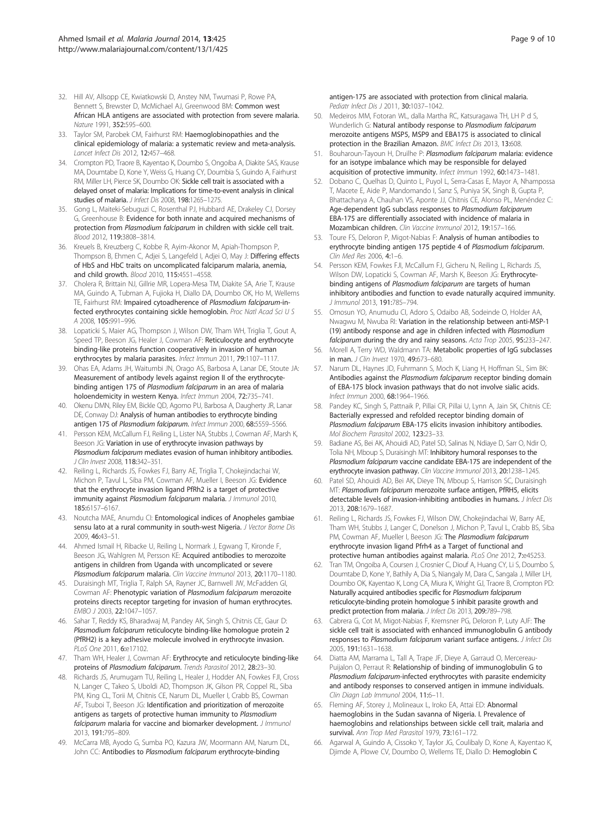- <span id="page-8-0"></span>32. Hill AV, Allsopp CE, Kwiatkowski D, Anstey NM, Twumasi P, Rowe PA, Bennett S, Brewster D, McMichael AJ, Greenwood BM: Common west African HLA antigens are associated with protection from severe malaria. Nature 1991, 352:595–600.
- 33. Taylor SM, Parobek CM, Fairhurst RM: Haemoglobinopathies and the clinical epidemiology of malaria: a systematic review and meta-analysis. Lancet Infect Dis 2012, 12:457–468.
- 34. Crompton PD, Traore B, Kayentao K, Doumbo S, Ongoiba A, Diakite SAS, Krause MA, Doumtabe D, Kone Y, Weiss G, Huang CY, Doumbia S, Guindo A, Fairhurst RM, Miller LH, Pierce SK, Doumbo OK: Sickle cell trait is associated with a delayed onset of malaria: Implications for time-to-event analysis in clinical studies of malaria. J Infect Dis 2008, 198:1265-1275.
- 35. Gong L, Maiteki-Sebuguzi C, Rosenthal PJ, Hubbard AE, Drakeley CJ, Dorsey G, Greenhouse B: Evidence for both innate and acquired mechanisms of protection from Plasmodium falciparum in children with sickle cell trait. Blood 2012, 119:3808–3814.
- 36. Kreuels B, Kreuzberg C, Kobbe R, Ayim-Akonor M, Apiah-Thompson P, Thompson B, Ehmen C, Adjei S, Langefeld I, Adjei O, May J: Differing effects of HbS and HbC traits on uncomplicated falciparum malaria, anemia, and child growth. Blood 2010, 115:4551–4558.
- 37. Cholera R, Brittain NJ, Gillrie MR, Lopera-Mesa TM, Diakite SA, Arie T, Krause MA, Guindo A, Tubman A, Fujioka H, Diallo DA, Doumbo OK, Ho M, Wellems TE, Fairhurst RM: Impaired cytoadherence of Plasmodium falciparum-infected erythrocytes containing sickle hemoglobin. Proc Natl Acad Sci U S A 2008, 105:991–996.
- 38. Lopaticki S, Maier AG, Thompson J, Wilson DW, Tham WH, Triglia T, Gout A, Speed TP, Beeson JG, Healer J, Cowman AF: Reticulocyte and erythrocyte binding-like proteins function cooperatively in invasion of human erythrocytes by malaria parasites. Infect Immun 2011, 79:1107–1117.
- 39. Ohas EA, Adams JH, Waitumbi JN, Orago AS, Barbosa A, Lanar DE, Stoute JA: Measurement of antibody levels against region II of the erythrocytebinding antigen 175 of Plasmodium falciparum in an area of malaria holoendemicity in western Kenya. Infect Immun 2004, 72:735–741.
- 40. Okenu DMN, Riley EM, Bickle QD, Agomo PU, Barbosa A, Daugherty JR, Lanar DE, Conway DJ: Analysis of human antibodies to erythrocyte binding antigen 175 of Plasmodium falciparum. Infect Immun 2000, 68:5559-5566.
- 41. Persson KEM, McCallum FJ, Reiling L, Lister NA, Stubbs J, Cowman AF, Marsh K, Beeson JG: Variation in use of erythrocyte invasion pathways by Plasmodium falciparum mediates evasion of human inhibitory antibodies. J Clin Invest 2008, 118:342–351.
- 42. Reiling L, Richards JS, Fowkes FJ, Barry AE, Triglia T, Chokejindachai W, Michon P, Tavul L, Siba PM, Cowman AF, Mueller I, Beeson JG: Evidence that the erythrocyte invasion ligand PfRh2 is a target of protective immunity against Plasmodium falciparum malaria. J Immunol 2010, 185:6157–6167.
- 43. Noutcha MAE, Anumdu CI: Entomological indices of Anopheles gambiae sensu lato at a rural community in south-west Nigeria. J Vector Borne Dis 2009, 46:43–51.
- 44. Ahmed Ismail H, Ribacke U, Reiling L, Normark J, Egwang T, Kironde F, Beeson JG, Wahlgren M, Persson KE: Acquired antibodies to merozoite antigens in children from Uganda with uncomplicated or severe Plasmodium falciparum malaria. Clin Vaccine Immunol 2013, 20:1170-1180.
- 45. Duraisingh MT, Triglia T, Ralph SA, Rayner JC, Barnwell JW, McFadden GI, Cowman AF: Phenotypic variation of Plasmodium falciparum merozoite proteins directs receptor targeting for invasion of human erythrocytes. EMBO J 2003, 22:1047–1057.
- 46. Sahar T, Reddy KS, Bharadwaj M, Pandey AK, Singh S, Chitnis CE, Gaur D: Plasmodium falciparum reticulocyte binding-like homologue protein 2 (PfRH2) is a key adhesive molecule involved in erythrocyte invasion. PLoS One 2011, 6:e17102.
- 47. Tham WH, Healer J, Cowman AF: Erythrocyte and reticulocyte binding-like proteins of Plasmodium falciparum. Trends Parasitol 2012, 28:23-30.
- 48. Richards JS, Arumugam TU, Reiling L, Healer J, Hodder AN, Fowkes FJI, Cross N, Langer C, Takeo S, Uboldi AD, Thompson JK, Gilson PR, Coppel RL, Siba PM, King CL, Torii M, Chitnis CE, Narum DL, Mueller I, Crabb BS, Cowman AF, Tsuboi T, Beeson JG: Identification and prioritization of merozoite antigens as targets of protective human immunity to Plasmodium falciparum malaria for vaccine and biomarker development. J Immunol 2013, 191:795–809.
- 49. McCarra MB, Ayodo G, Sumba PO, Kazura JW, Moormann AM, Narum DL, John CC: Antibodies to Plasmodium falciparum erythrocyte-binding

antigen-175 are associated with protection from clinical malaria. Pediatr Infect Dis J 2011, 30:1037–1042.

- 50. Medeiros MM, Fotoran WL, dalla Martha RC, Katsuragawa TH, LH P d S, Wunderlich G: Natural antibody response to Plasmodium falciparum merozoite antigens MSP5, MSP9 and EBA175 is associated to clinical protection in the Brazilian Amazon. BMC Infect Dis 2013, 13:608.
- 51. Bouharoun-Tayoun H, Druilhe P: Plasmodium falciparum malaria: evidence for an isotype imbalance which may be responsible for delayed acquisition of protective immunity. Infect Immun 1992, 60:1473–1481.
- 52. Dobano C, Quelhas D, Quinto L, Puyol L, Serra-Casas E, Mayor A, Nhampossa T, Macete E, Aide P, Mandomando I, Sanz S, Puniya SK, Singh B, Gupta P, Bhattacharya A, Chauhan VS, Aponte JJ, Chitnis CE, Alonso PL, Menéndez C: Age-dependent IgG subclass responses to Plasmodium falciparum EBA-175 are differentially associated with incidence of malaria in Mozambican children. Clin Vaccine Immunol 2012, 19:157–166.
- 53. Toure FS, Deloron P, Migot-Nabias F: Analysis of human antibodies to erythrocyte binding antigen 175 peptide 4 of Plasmodium falciparum. Clin Med Res 2006, 4:1–6.
- 54. Persson KEM, Fowkes FJI, McCallum FJ, Gicheru N, Reiling L, Richards JS, Wilson DW, Lopaticki S, Cowman AF, Marsh K, Beeson JG: Erythrocytebinding antigens of Plasmodium falciparum are targets of human inhibitory antibodies and function to evade naturally acquired immunity. J Immunol 2013, 191:785–794.
- 55. Omosun YO, Anumudu CI, Adoro S, Odaibo AB, Sodeinde O, Holder AA, Nwagwu M, Nwuba RI: Variation in the relationship between anti-MSP-1 (19) antibody response and age in children infected with Plasmodium falciparum during the dry and rainy seasons. Acta Trop 2005, 95:233–247.
- 56. Morell A, Terry WD, Waldmann TA: Metabolic properties of IgG subclasses in man. J Clin Invest 1970, 49:673–680.
- 57. Narum DL, Haynes JD, Fuhrmann S, Moch K, Liang H, Hoffman SL, Sim BK: Antibodies against the Plasmodium falciparum receptor binding domain of EBA-175 block invasion pathways that do not involve sialic acids. Infect Immun 2000, 68:1964–1966.
- 58. Pandey KC, Singh S, Pattnaik P, Pillai CR, Pillai U, Lynn A, Jain SK, Chitnis CE: Bacterially expressed and refolded receptor binding domain of Plasmodium falciparum EBA-175 elicits invasion inhibitory antibodies. Mol Biochem Parasitol 2002, 123:23–33.
- 59. Badiane AS, Bei AK, Ahouidi AD, Patel SD, Salinas N, Ndiaye D, Sarr O, Ndir O, Tolia NH, Mboup S, Duraisingh MT: Inhibitory humoral responses to the Plasmodium falciparum vaccine candidate EBA-175 are independent of the erythrocyte invasion pathway. Clin Vaccine Immunol 2013, 20:1238–1245.
- 60. Patel SD, Ahouidi AD, Bei AK, Dieye TN, Mboup S, Harrison SC, Duraisingh MT: Plasmodium falciparum merozoite surface antigen, PfRH5, elicits detectable levels of invasion-inhibiting antibodies in humans. J Infect Dis 2013, 208:1679–1687.
- 61. Reiling L, Richards JS, Fowkes FJ, Wilson DW, Chokejindachai W, Barry AE, Tham WH, Stubbs J, Langer C, Donelson J, Michon P, Tavul L, Crabb BS, Siba PM, Cowman AF, Mueller I, Beeson JG: The Plasmodium falciparum erythrocyte invasion ligand Pfrh4 as a Target of functional and protective human antibodies against malaria. PLoS One 2012, 7:e45253.
- 62. Tran TM, Ongoiba A, Coursen J, Crosnier C, Diouf A, Huang CY, Li S, Doumbo S, Doumtabe D, Kone Y, Bathily A, Dia S, Niangaly M, Dara C, Sangala J, Miller LH, Doumbo OK, Kayentao K, Long CA, Miura K, Wright GJ, Traore B, Crompton PD: Naturally acquired antibodies specific for Plasmodium falciparum reticulocyte-binding protein homologue 5 inhibit parasite growth and predict protection from malaria. J Infect Dis 2013, 209:789-798.
- 63. Cabrera G, Cot M, Migot-Nabias F, Kremsner PG, Deloron P, Luty AJF: The sickle cell trait is associated with enhanced immunoglobulin G antibody responses to Plasmodium falciparum variant surface antigens. J Infect Dis 2005, 191:1631–1638.
- 64. Diatta AM, Marrama L, Tall A, Trape JF, Dieye A, Garraud O, Mercereau-Puijalon O, Perraut R: Relationship of binding of immunoglobulin G to Plasmodium falciparum-infected erythrocytes with parasite endemicity and antibody responses to conserved antigen in immune individuals. Clin Diagn Lab Immunol 2004, 11:6–11.
- 65. Fleming AF, Storey J, Molineaux L, Iroko EA, Attai ED: Abnormal haemoglobins in the Sudan savanna of Nigeria. I. Prevalence of haemoglobins and relationships between sickle cell trait, malaria and survival. Ann Trop Med Parasitol 1979, 73:161-172.
- 66. Agarwal A, Guindo A, Cissoko Y, Taylor JG, Coulibaly D, Kone A, Kayentao K, Djimde A, Plowe CV, Doumbo O, Wellems TE, Diallo D: Hemoglobin C